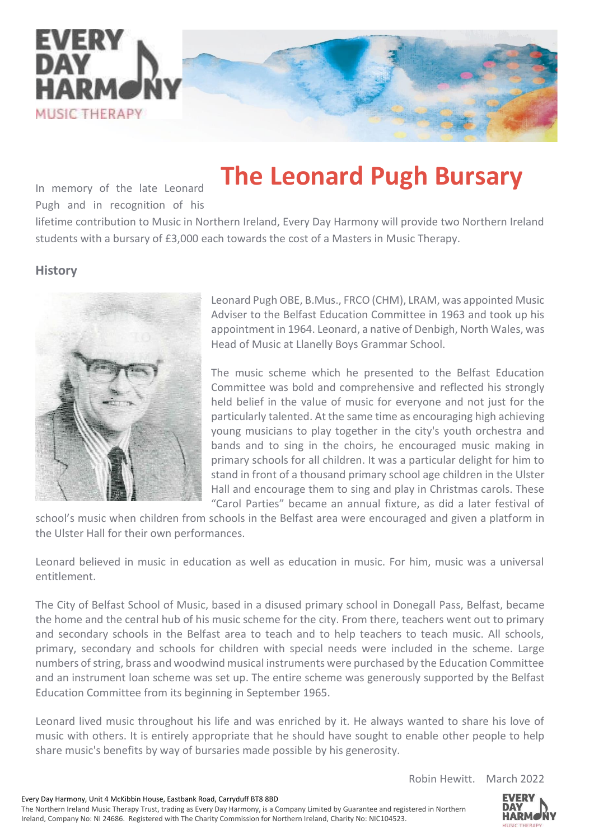

# **The Leonard Pugh Bursary**

In memory of the late Leonard Pugh and in recognition of his

lifetime contribution to Music in Northern Ireland, Every Day Harmony will provide two Northern Ireland students with a bursary of £3,000 each towards the cost of a Masters in Music Therapy.

# **History**



Leonard Pugh OBE, B.Mus., FRCO (CHM), LRAM, was appointed Music Adviser to the Belfast Education Committee in 1963 and took up his appointment in 1964. Leonard, a native of Denbigh, North Wales, was Head of Music at Llanelly Boys Grammar School.

The music scheme which he presented to the Belfast Education Committee was bold and comprehensive and reflected his strongly held belief in the value of music for everyone and not just for the particularly talented. At the same time as encouraging high achieving young musicians to play together in the city's youth orchestra and bands and to sing in the choirs, he encouraged music making in primary schools for all children. It was a particular delight for him to stand in front of a thousand primary school age children in the Ulster Hall and encourage them to sing and play in Christmas carols. These "Carol Parties" became an annual fixture, as did a later festival of

school's music when children from schools in the Belfast area were encouraged and given a platform in the Ulster Hall for their own performances.

Leonard believed in music in education as well as education in music. For him, music was a universal entitlement.

The City of Belfast School of Music, based in a disused primary school in Donegall Pass, Belfast, became the home and the central hub of his music scheme for the city. From there, teachers went out to primary and secondary schools in the Belfast area to teach and to help teachers to teach music. All schools, primary, secondary and schools for children with special needs were included in the scheme. Large numbers of string, brass and woodwind musical instruments were purchased by the Education Committee and an instrument loan scheme was set up. The entire scheme was generously supported by the Belfast Education Committee from its beginning in September 1965.

Leonard lived music throughout his life and was enriched by it. He always wanted to share his love of music with others. It is entirely appropriate that he should have sought to enable other people to help share music's benefits by way of bursaries made possible by his generosity.

Robin Hewitt. March 2022